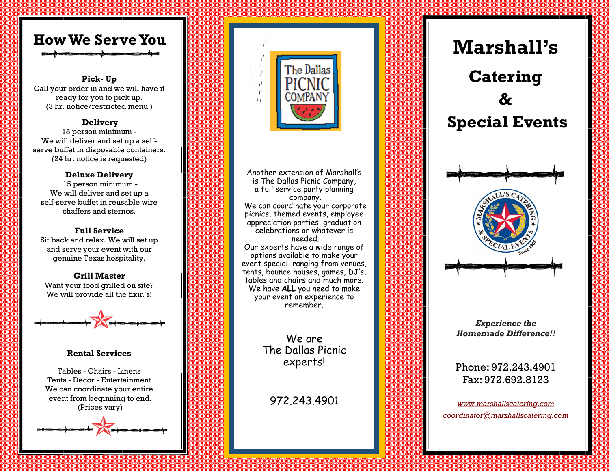

#### **Pick - Up**

Call your order in and we will have it ready for you to pick up. (3 hr. notice/restricted menu )

#### **Delivery**

15 person minimum - We will deliver and set up a selfserve buffet in disposable containers. (24 hr. notice is requested)

#### **Deluxe Delivery**

15 person minimum - We will deliver and set up a self-serve buffet in reusable wire chaffers and sternos.

#### **Full Service**

Sit back and relax. We will set up and serve your event with our genuine Texas hospitality.

#### **Grill Master**

Want your food grilled on site? We will provide all the fixin's!



#### **Rental Services**

Tables - Chairs - Linens Tents - Decor - Entertainment We can coordinate your entire event from beginning to end. (Prices vary)





Another extension of Marshall s ' is The Dallas Picnic Company, a full service party planning company. We can coordinate your corporate picnics, themed events, employee appreciation parties, graduation celebrations or whatever is needed. Our experts have a wide range of options available to make your event special, ranging from venues, tents, bounce houses, games, DJ 's, tables and chairs and much more. We have **ALL** you need to make your event an experience to remember.

> We are The Dallas Picnic experts!

972.243.4901

# **Marshall's Catering**

# **& Special Events**



*Experience the Homemade Difference!!*

Phone: 972.243.4901 Fax: 972.692.8123

*[www.marshallscatering.com](http://www.marshallscatering.com/) coordinator@marshallscatering.com*